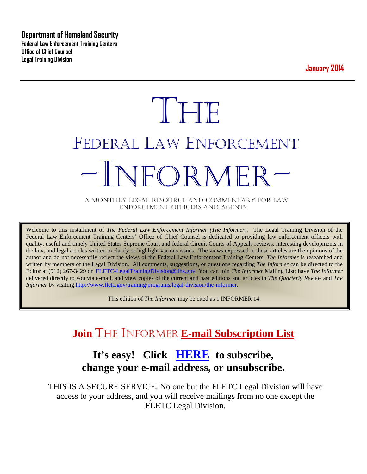**Department of Homeland Security Federal Law Enforcement Training Centers Office of Chief Counsel Legal Training Division** 

**January 2014**

# **THE** FEDERAL LAW ENFORCEMENT -INFORMER- A MONTHLY LEGAL RESOURCE AND COMMENTARY FOR LAW

ENFORCEMENT OFFICERS AND AGENTS

Welcome to this installment of *The Federal Law Enforcement Informer (The Informer).* The Legal Training Division of the Federal Law Enforcement Training Centers' Office of Chief Counsel is dedicated to providing law enforcement officers with quality, useful and timely United States Supreme Court and federal Circuit Courts of Appeals reviews, interesting developments in the law, and legal articles written to clarify or highlight various issues. The views expressed in these articles are the opinions of the author and do not necessarily reflect the views of the Federal Law Enforcement Training Centers. *The Informer* is researched and written by members of the Legal Division. All comments, suggestions, or questions regarding *The Informer* can be directed to the Editor at (912) 267-3429 or [FLETC-LegalTrainingDivision@dhs.gov.](mailto:FLETC-LegalTrainingDivision@dhs.gov) You can join *The Informer* Mailing List; have *The Informer* delivered directly to you via e-mail, and view copies of the current and past editions and articles in *The Quarterly Review* and *The Informer* by visiting [http://www.fletc.gov/training/programs/legal-division/the-informer.](http://www.fletc.gov/training/programs/legal-division/the-informer)

This edition of *The Informer* may be cited as 1 INFORMER 14.

# **Join** THE INFORMER **E-mail Subscription List**

### **It's easy! Click [HERE](http://peach.ease.lsoft.com/scripts/wa.exe?SUBED1=fletclgd&A=1) to subscribe, change your e-mail address, or unsubscribe.**

THIS IS A SECURE SERVICE. No one but the FLETC Legal Division will have access to your address, and you will receive mailings from no one except the FLETC Legal Division.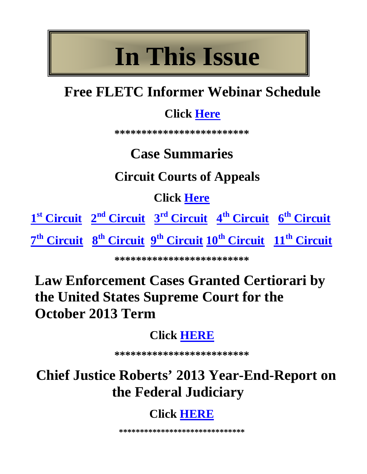# **In This Issue**

# **Free FLETC Informer Webinar Schedule**

# **Click [Here](#page-2-0)**

**\*\*\*\*\*\*\*\*\*\*\*\*\*\*\*\*\*\*\*\*\*\*\*\*\***

# **Case Summaries**

# **Circuit Courts of Appeals**

**Click [Here](#page-5-0)**

**1st [Circuit](#page-5-1) 2nd [Circuit](#page-6-0) 3rd [Circuit](#page-7-0) 4th [Circuit](#page-8-0) 6th [Circuit](#page-10-0)  7th [Circuit](#page-10-1) 8th [Circuit](#page-11-0) 9th [Circuit](#page-13-0) 10th [Circuit](#page-13-1) 11th [Circuit](#page-14-0)**

**\*\*\*\*\*\*\*\*\*\*\*\*\*\*\*\*\*\*\*\*\*\*\*\*\***

# **Law Enforcement Cases Granted Certiorari by the United States Supreme Court for the October 2013 Term**

# **Click [HERE](#page-4-0)**

**\*\*\*\*\*\*\*\*\*\*\*\*\*\*\*\*\*\*\*\*\*\*\*\*\***

# **Chief Justice Roberts' 2013 Year-End-Report on the Federal Judiciary**

# **Click [HERE](http://www.supremecourt.gov/publicinfo/year-end/2013year-endreport.pdf)**

**\*\*\*\*\*\*\*\*\*\*\*\*\*\*\*\*\*\*\*\*\*\*\*\*\*\*\*\*\*\***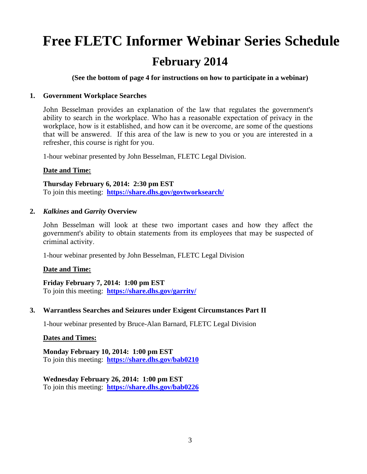# <span id="page-2-0"></span>**Free FLETC Informer Webinar Series Schedule February 2014**

**(See the bottom of page 4 for instructions on how to participate in a webinar)**

#### **1. Government Workplace Searches**

John Besselman provides an explanation of the law that regulates the government's ability to search in the workplace. Who has a reasonable expectation of privacy in the workplace, how is it established, and how can it be overcome, are some of the questions that will be answered. If this area of the law is new to you or you are interested in a refresher, this course is right for you.

1-hour webinar presented by John Besselman, FLETC Legal Division.

#### **Date and Time:**

**Thursday February 6, 2014: 2:30 pm EST**  To join this meeting: **<https://share.dhs.gov/govtworksearch/>**

#### **2.** *Kalkines* **and** *Garrity* **Overview**

John Besselman will look at these two important cases and how they affect the government's ability to obtain statements from its employees that may be suspected of criminal activity.

1-hour webinar presented by John Besselman, FLETC Legal Division

#### **Date and Time:**

**Friday February 7, 2014: 1:00 pm EST**  To join this meeting: **<https://share.dhs.gov/garrity/>**

#### **3. Warrantless Searches and Seizures under Exigent Circumstances Part II**

1-hour webinar presented by Bruce-Alan Barnard, FLETC Legal Division

#### **Dates and Times:**

**Monday February 10, 2014: 1:00 pm EST**  To join this meeting: **<https://share.dhs.gov/bab0210>**

#### **Wednesday February 26, 2014: 1:00 pm EST**

To join this meeting: **<https://share.dhs.gov/bab0226>**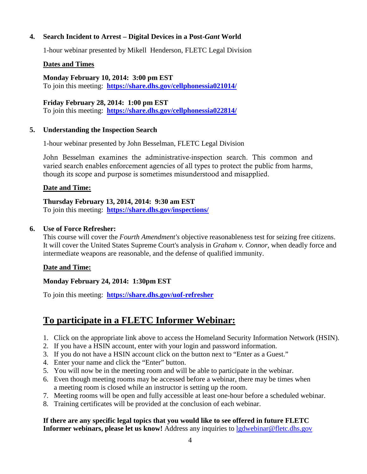#### **4. Search Incident to Arrest – Digital Devices in a Post-***Gant* **World**

1-hour webinar presented by Mikell Henderson, FLETC Legal Division

#### **Dates and Times**

**Monday February 10, 2014: 3:00 pm EST** To join this meeting: **<https://share.dhs.gov/cellphonessia021014/>**

#### **Friday February 28, 2014: 1:00 pm EST**

To join this meeting: **<https://share.dhs.gov/cellphonessia022814/>**

#### **5. Understanding the Inspection Search**

1-hour webinar presented by John Besselman, FLETC Legal Division

John Besselman examines the administrative-inspection search. This common and varied search enables enforcement agencies of all types to protect the public from harms, though its scope and purpose is sometimes misunderstood and misapplied.

#### **Date and Time:**

#### **Thursday February 13, 2014, 2014: 9:30 am EST**

To join this meeting: **<https://share.dhs.gov/inspections/>**

#### **6. Use of Force Refresher:**

This course will cover the *Fourth Amendment's* objective reasonableness test for seizing free citizens. It will cover the United States Supreme Court's analysis in *Graham v. Connor*, when deadly force and intermediate weapons are reasonable, and the defense of qualified immunity.

#### **Date and Time:**

#### **Monday February 24, 2014: 1:30pm EST**

To join this meeting: **<https://share.dhs.gov/uof-refresher>**

#### **To participate in a FLETC Informer Webinar:**

- 1. Click on the appropriate link above to access the Homeland Security Information Network (HSIN).
- 2. If you have a HSIN account, enter with your login and password information.
- 3. If you do not have a HSIN account click on the button next to "Enter as a Guest."
- 4. Enter your name and click the "Enter" button.
- 5. You will now be in the meeting room and will be able to participate in the webinar.
- 6. Even though meeting rooms may be accessed before a webinar, there may be times when a meeting room is closed while an instructor is setting up the room.
- 7. Meeting rooms will be open and fully accessible at least one-hour before a scheduled webinar.
- 8. Training certificates will be provided at the conclusion of each webinar.

#### **If there are any specific legal topics that you would like to see offered in future FLETC Informer webinars, please let us know!** Address any inquiries to [lgdwebinar@fletc.dhs.gov](mailto:lgdwebinar@fletc.dhs.gov)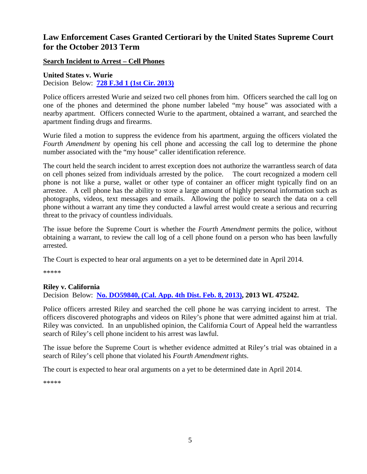#### <span id="page-4-0"></span>**Law Enforcement Cases Granted Certiorari by the United States Supreme Court for the October 2013 Term**

**Search Incident to Arrest – Cell Phones**

**United States v. Wurie**

Decision Below: **[728 F.3d 1 \(1st Cir. 2013\)](http://docs.justia.com/cases/federal/appellate-courts/ca1/11-1792/11-1792-2013-05-17.pdf)**

Police officers arrested Wurie and seized two cell phones from him. Officers searched the call log on one of the phones and determined the phone number labeled "my house" was associated with a nearby apartment. Officers connected Wurie to the apartment, obtained a warrant, and searched the apartment finding drugs and firearms.

Wurie filed a motion to suppress the evidence from his apartment, arguing the officers violated the *Fourth Amendment* by opening his cell phone and accessing the call log to determine the phone number associated with the "my house" caller identification reference.

The court held the search incident to arrest exception does not authorize the warrantless search of data on cell phones seized from individuals arrested by the police. The court recognized a modern cell phone is not like a purse, wallet or other type of container an officer might typically find on an arrestee. A cell phone has the ability to store a large amount of highly personal information such as photographs, videos, text messages and emails. Allowing the police to search the data on a cell phone without a warrant any time they conducted a lawful arrest would create a serious and recurring threat to the privacy of countless individuals.

The issue before the Supreme Court is whether the *Fourth Amendment* permits the police, without obtaining a warrant, to review the call log of a cell phone found on a person who has been lawfully arrested.

The Court is expected to hear oral arguments on a yet to be determined date in April 2014.

\*\*\*\*\*

#### **Riley v. California** Decision Below: **[No. DO59840, \(Cal. App. 4th Dist. Feb. 8, 2013\),](http://www2.bloomberglaw.com/public/desktop/document/People_v_Riley_No_D059840_2013_BL_34220_Cal_App_4th_Dist_Feb_08_2) 2013 WL 475242.**

Police officers arrested Riley and searched the cell phone he was carrying incident to arrest. The officers discovered photographs and videos on Riley's phone that were admitted against him at trial. Riley was convicted. In an unpublished opinion, the California Court of Appeal held the warrantless search of Riley's cell phone incident to his arrest was lawful.

The issue before the Supreme Court is whether evidence admitted at Riley's trial was obtained in a search of Riley's cell phone that violated his *Fourth Amendment* rights.

The court is expected to hear oral arguments on a yet to be determined date in April 2014.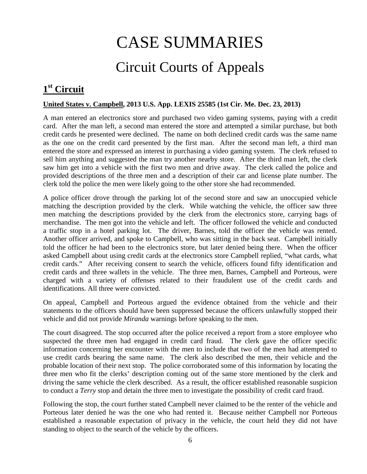# CASE SUMMARIES

# Circuit Courts of Appeals

### <span id="page-5-1"></span><span id="page-5-0"></span>**1st Circuit**

#### **United States v. Campbell, 2013 U.S. App. LEXIS 25585 (1st Cir. Me. Dec. 23, 2013)**

A man entered an electronics store and purchased two video gaming systems, paying with a credit card. After the man left, a second man entered the store and attempted a similar purchase, but both credit cards he presented were declined. The name on both declined credit cards was the same name as the one on the credit card presented by the first man. After the second man left, a third man entered the store and expressed an interest in purchasing a video gaming system. The clerk refused to sell him anything and suggested the man try another nearby store. After the third man left, the clerk saw him get into a vehicle with the first two men and drive away. The clerk called the police and provided descriptions of the three men and a description of their car and license plate number. The clerk told the police the men were likely going to the other store she had recommended.

A police officer drove through the parking lot of the second store and saw an unoccupied vehicle matching the description provided by the clerk. While watching the vehicle, the officer saw three men matching the descriptions provided by the clerk from the electronics store, carrying bags of merchandise. The men got into the vehicle and left. The officer followed the vehicle and conducted a traffic stop in a hotel parking lot. The driver, Barnes, told the officer the vehicle was rented. Another officer arrived, and spoke to Campbell, who was sitting in the back seat. Campbell initially told the officer he had been to the electronics store, but later denied being there. When the officer asked Campbell about using credit cards at the electronics store Campbell replied, "what cards, what credit cards." After receiving consent to search the vehicle, officers found fifty identification and credit cards and three wallets in the vehicle. The three men, Barnes, Campbell and Porteous, were charged with a variety of offenses related to their fraudulent use of the credit cards and identifications. All three were convicted.

On appeal, Campbell and Porteous argued the evidence obtained from the vehicle and their statements to the officers should have been suppressed because the officers unlawfully stopped their vehicle and did not provide *Miranda* warnings before speaking to the men.

The court disagreed. The stop occurred after the police received a report from a store employee who suspected the three men had engaged in credit card fraud. The clerk gave the officer specific information concerning her encounter with the men to include that two of the men had attempted to use credit cards bearing the same name. The clerk also described the men, their vehicle and the probable location of their next stop. The police corroborated some of this information by locating the three men who fit the clerks' description coming out of the same store mentioned by the clerk and driving the same vehicle the clerk described. As a result, the officer established reasonable suspicion to conduct a *Terry* stop and detain the three men to investigate the possibility of credit card fraud.

Following the stop, the court further stated Campbell never claimed to be the renter of the vehicle and Porteous later denied he was the one who had rented it. Because neither Campbell nor Porteous established a reasonable expectation of privacy in the vehicle, the court held they did not have standing to object to the search of the vehicle by the officers.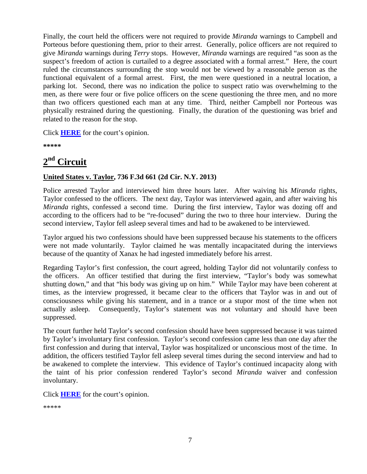Finally, the court held the officers were not required to provide *Miranda* warnings to Campbell and Porteous before questioning them, prior to their arrest. Generally, police officers are not required to give *Miranda* warnings during *Terry* stops. However, *Miranda* warnings are required "as soon as the suspect's freedom of action is curtailed to a degree associated with a formal arrest." Here, the court ruled the circumstances surrounding the stop would not be viewed by a reasonable person as the functional equivalent of a formal arrest. First, the men were questioned in a neutral location, a parking lot. Second, there was no indication the police to suspect ratio was overwhelming to the men, as there were four or five police officers on the scene questioning the three men, and no more than two officers questioned each man at any time. Third, neither Campbell nor Porteous was physically restrained during the questioning. Finally, the duration of the questioning was brief and related to the reason for the stop.

Click **[HERE](http://docs.justia.com/cases/federal/appellate-courts/ca1/12-2161/12-2161-2013-12-23.pdf)** for the court's opinion.

**\*\*\*\*\***

### <span id="page-6-0"></span>**2nd Circuit**

#### **United States v. Taylor, 736 F.3d 661 (2d Cir. N.Y. 2013)**

Police arrested Taylor and interviewed him three hours later. After waiving his *Miranda* rights, Taylor confessed to the officers. The next day, Taylor was interviewed again, and after waiving his *Miranda* rights, confessed a second time. During the first interview, Taylor was dozing off and according to the officers had to be "re-focused" during the two to three hour interview. During the second interview, Taylor fell asleep several times and had to be awakened to be interviewed.

Taylor argued his two confessions should have been suppressed because his statements to the officers were not made voluntarily. Taylor claimed he was mentally incapacitated during the interviews because of the quantity of Xanax he had ingested immediately before his arrest.

Regarding Taylor's first confession, the court agreed, holding Taylor did not voluntarily confess to the officers. An officer testified that during the first interview, "Taylor's body was somewhat shutting down," and that "his body was giving up on him." While Taylor may have been coherent at times, as the interview progressed, it became clear to the officers that Taylor was in and out of consciousness while giving his statement, and in a trance or a stupor most of the time when not actually asleep. Consequently, Taylor's statement was not voluntary and should have been suppressed.

The court further held Taylor's second confession should have been suppressed because it was tainted by Taylor's involuntary first confession. Taylor's second confession came less than one day after the first confession and during that interval, Taylor was hospitalized or unconscious most of the time. In addition, the officers testified Taylor fell asleep several times during the second interview and had to be awakened to complete the interview. This evidence of Taylor's continued incapacity along with the taint of his prior confession rendered Taylor's second *Miranda* waiver and confession involuntary.

Click **[HERE](http://docs.justia.com/cases/federal/appellate-courts/ca2/11-2201/11-2201-2013-12-04.pdf)** for the court's opinion.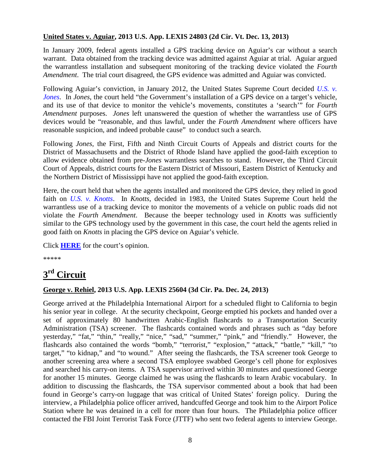#### **United States v. Aguiar, 2013 U.S. App. LEXIS 24803 (2d Cir. Vt. Dec. 13, 2013)**

In January 2009, federal agents installed a GPS tracking device on Aguiar's car without a search warrant. Data obtained from the tracking device was admitted against Aguiar at trial. Aguiar argued the warrantless installation and subsequent monitoring of the tracking device violated the *Fourth Amendment*. The trial court disagreed, the GPS evidence was admitted and Aguiar was convicted.

Following Aguiar's conviction, in January 2012, the United States Supreme Court decided *[U.S. v.](http://supreme.justia.com/cases/federal/us/565/10-1259/opinion.html)  [Jones](http://supreme.justia.com/cases/federal/us/565/10-1259/opinion.html)*. In *Jones*, the court held "the Government's installation of a GPS device on a target's vehicle, and its use of that device to monitor the vehicle's movements, constitutes a 'search'" for *Fourth Amendment* purposes. *Jones* left unanswered the question of whether the warrantless use of GPS devices would be "reasonable, and thus lawful, under the *Fourth Amendment* where officers have reasonable suspicion, and indeed probable cause" to conduct such a search.

Following *Jones*, the First, Fifth and Ninth Circuit Courts of Appeals and district courts for the District of Massachusetts and the District of Rhode Island have applied the good-faith exception to allow evidence obtained from pre-*Jones* warrantless searches to stand. However, the Third Circuit Court of Appeals, district courts for the Eastern District of Missouri, Eastern District of Kentucky and the Northern District of Mississippi have not applied the good-faith exception.

Here, the court held that when the agents installed and monitored the GPS device, they relied in good faith on *[U.S. v. Knotts](http://supreme.justia.com/cases/federal/us/460/276/case.html)*. In *Knotts*, decided in 1983, the United States Supreme Court held the warrantless use of a tracking device to monitor the movements of a vehicle on public roads did not violate the *Fourth Amendment*. Because the beeper technology used in *Knotts* was sufficiently similar to the GPS technology used by the government in this case, the court held the agents relied in good faith on *Knotts* in placing the GPS device on Aguiar's vehicle.

Click **[HERE](http://docs.justia.com/cases/federal/appellate-courts/ca2/11-5262/11-5262-2013-12-13.pdf)** for the court's opinion.

\*\*\*\*\*

### <span id="page-7-0"></span>**3rd Circuit**

#### **George v. Rehiel, 2013 U.S. App. LEXIS 25604 (3d Cir. Pa. Dec. 24, 2013)**

George arrived at the Philadelphia International Airport for a scheduled flight to California to begin his senior year in college. At the security checkpoint, George emptied his pockets and handed over a set of approximately 80 handwritten Arabic-English flashcards to a Transportation Security Administration (TSA) screener. The flashcards contained words and phrases such as "day before yesterday," "fat," "thin," "really," "nice," "sad," "summer," "pink," and "friendly." However, the flashcards also contained the words "bomb," "terrorist," "explosion," "attack," "battle," "kill," "to target," "to kidnap," and "to wound." After seeing the flashcards, the TSA screener took George to another screening area where a second TSA employee swabbed George's cell phone for explosives and searched his carry-on items. A TSA supervisor arrived within 30 minutes and questioned George for another 15 minutes. George claimed he was using the flashcards to learn Arabic vocabulary. In addition to discussing the flashcards, the TSA supervisor commented about a book that had been found in George's carry-on luggage that was critical of United States' foreign policy. During the interview, a Philadelphia police officer arrived, handcuffed George and took him to the Airport Police Station where he was detained in a cell for more than four hours. The Philadelphia police officer contacted the FBI Joint Terrorist Task Force (JTTF) who sent two federal agents to interview George.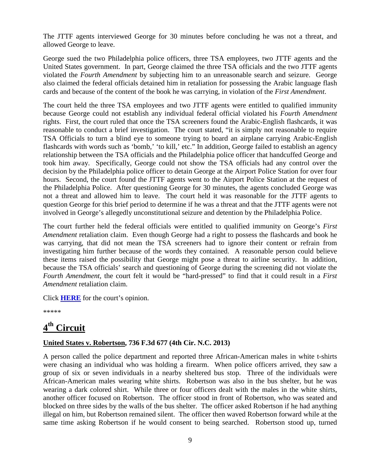The JTTF agents interviewed George for 30 minutes before concluding he was not a threat, and allowed George to leave.

George sued the two Philadelphia police officers, three TSA employees, two JTTF agents and the United States government. In part, George claimed the three TSA officials and the two JTTF agents violated the *Fourth Amendment* by subjecting him to an unreasonable search and seizure. George also claimed the federal officials detained him in retaliation for possessing the Arabic language flash cards and because of the content of the book he was carrying, in violation of the *First Amendment*.

The court held the three TSA employees and two JTTF agents were entitled to qualified immunity because George could not establish any individual federal official violated his *Fourth Amendment* rights. First, the court ruled that once the TSA screeners found the Arabic-English flashcards, it was reasonable to conduct a brief investigation. The court stated, "it is simply not reasonable to require TSA Officials to turn a blind eye to someone trying to board an airplane carrying Arabic-English flashcards with words such as 'bomb,' 'to kill,' etc." In addition, George failed to establish an agency relationship between the TSA officials and the Philadelphia police officer that handcuffed George and took him away. Specifically, George could not show the TSA officials had any control over the decision by the Philadelphia police officer to detain George at the Airport Police Station for over four hours. Second, the court found the JTTF agents went to the Airport Police Station at the request of the Philadelphia Police. After questioning George for 30 minutes, the agents concluded George was not a threat and allowed him to leave. The court held it was reasonable for the JTTF agents to question George for this brief period to determine if he was a threat and that the JTTF agents were not involved in George's allegedly unconstitutional seizure and detention by the Philadelphia Police.

The court further held the federal officials were entitled to qualified immunity on George's *First Amendment* retaliation claim. Even though George had a right to possess the flashcards and book he was carrying, that did not mean the TSA screeners had to ignore their content or refrain from investigating him further because of the words they contained. A reasonable person could believe these items raised the possibility that George might pose a threat to airline security. In addition, because the TSA officials' search and questioning of George during the screening did not violate the *Fourth Amendment*, the court felt it would be "hard-pressed" to find that it could result in a *First Amendment* retaliation claim.

Click **[HERE](http://docs.justia.com/cases/federal/appellate-courts/ca3/11-4292/11-4292-2013-12-24.pdf)** for the court's opinion.

\*\*\*\*\*

### <span id="page-8-0"></span>**4th Circuit**

#### **United States v. Robertson, 736 F.3d 677 (4th Cir. N.C. 2013)**

A person called the police department and reported three African-American males in white t-shirts were chasing an individual who was holding a firearm. When police officers arrived, they saw a group of six or seven individuals in a nearby sheltered bus stop. Three of the individuals were African-American males wearing white shirts. Robertson was also in the bus shelter, but he was wearing a dark colored shirt. While three or four officers dealt with the males in the white shirts, another officer focused on Robertson. The officer stood in front of Robertson, who was seated and blocked on three sides by the walls of the bus shelter. The officer asked Robertson if he had anything illegal on him, but Robertson remained silent. The officer then waved Robertson forward while at the same time asking Robertson if he would consent to being searched. Robertson stood up, turned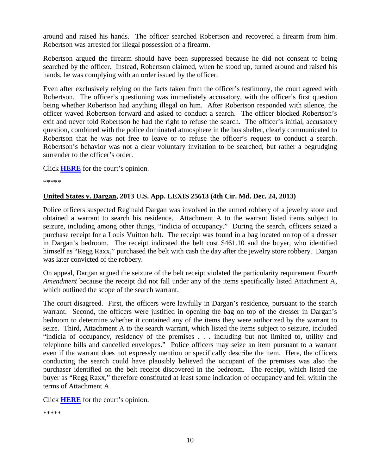around and raised his hands. The officer searched Robertson and recovered a firearm from him. Robertson was arrested for illegal possession of a firearm.

Robertson argued the firearm should have been suppressed because he did not consent to being searched by the officer. Instead, Robertson claimed, when he stood up, turned around and raised his hands, he was complying with an order issued by the officer.

Even after exclusively relying on the facts taken from the officer's testimony, the court agreed with Robertson. The officer's questioning was immediately accusatory, with the officer's first question being whether Robertson had anything illegal on him. After Robertson responded with silence, the officer waved Robertson forward and asked to conduct a search. The officer blocked Robertson's exit and never told Robertson he had the right to refuse the search. The officer's initial, accusatory question, combined with the police dominated atmosphere in the bus shelter, clearly communicated to Robertson that he was not free to leave or to refuse the officer's request to conduct a search. Robertson's behavior was not a clear voluntary invitation to be searched, but rather a begrudging surrender to the officer's order.

Click **[HERE](http://docs.justia.com/cases/federal/appellate-courts/ca4/12-4486/12-4486-2013-12-03.pdf)** for the court's opinion.

\*\*\*\*\*

#### **United States v. Dargan, 2013 U.S. App. LEXIS 25613 (4th Cir. Md. Dec. 24, 2013)**

Police officers suspected Reginald Dargan was involved in the armed robbery of a jewelry store and obtained a warrant to search his residence. Attachment A to the warrant listed items subject to seizure, including among other things, "indicia of occupancy." During the search, officers seized a purchase receipt for a Louis Vuitton belt. The receipt was found in a bag located on top of a dresser in Dargan's bedroom. The receipt indicated the belt cost \$461.10 and the buyer, who identified himself as "Regg Raxx," purchased the belt with cash the day after the jewelry store robbery. Dargan was later convicted of the robbery.

On appeal, Dargan argued the seizure of the belt receipt violated the particularity requirement *Fourth Amendment* because the receipt did not fall under any of the items specifically listed Attachment A, which outlined the scope of the search warrant.

The court disagreed. First, the officers were lawfully in Dargan's residence, pursuant to the search warrant. Second, the officers were justified in opening the bag on top of the dresser in Dargan's bedroom to determine whether it contained any of the items they were authorized by the warrant to seize. Third, Attachment A to the search warrant, which listed the items subject to seizure, included "indicia of occupancy, residency of the premises . . . including but not limited to, utility and telephone bills and cancelled envelopes." Police officers may seize an item pursuant to a warrant even if the warrant does not expressly mention or specifically describe the item. Here, the officers conducting the search could have plausibly believed the occupant of the premises was also the purchaser identified on the belt receipt discovered in the bedroom. The receipt, which listed the buyer as "Regg Raxx," therefore constituted at least some indication of occupancy and fell within the terms of Attachment A.

Click **[HERE](http://docs.justia.com/cases/federal/appellate-courts/ca4/13-4171/13-4171-2013-12-24.pdf)** for the court's opinion.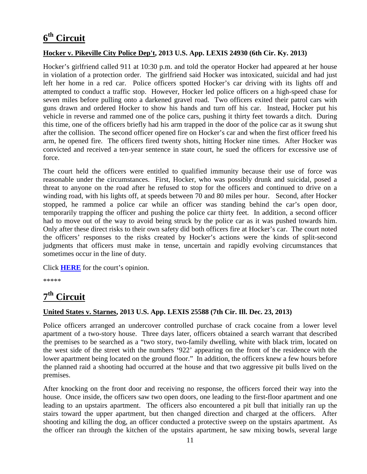## <span id="page-10-0"></span>**6th Circuit**

#### **Hocker v. Pikeville City Police Dep't, 2013 U.S. App. LEXIS 24930 (6th Cir. Ky. 2013)**

Hocker's girlfriend called 911 at 10:30 p.m. and told the operator Hocker had appeared at her house in violation of a protection order. The girlfriend said Hocker was intoxicated, suicidal and had just left her home in a red car. Police officers spotted Hocker's car driving with its lights off and attempted to conduct a traffic stop. However, Hocker led police officers on a high-speed chase for seven miles before pulling onto a darkened gravel road. Two officers exited their patrol cars with guns drawn and ordered Hocker to show his hands and turn off his car. Instead, Hocker put his vehicle in reverse and rammed one of the police cars, pushing it thirty feet towards a ditch. During this time, one of the officers briefly had his arm trapped in the door of the police car as it swung shut after the collision. The second officer opened fire on Hocker's car and when the first officer freed his arm, he opened fire. The officers fired twenty shots, hitting Hocker nine times. After Hocker was convicted and received a ten-year sentence in state court, he sued the officers for excessive use of force.

The court held the officers were entitled to qualified immunity because their use of force was reasonable under the circumstances. First, Hocker, who was possibly drunk and suicidal, posed a threat to anyone on the road after he refused to stop for the officers and continued to drive on a winding road, with his lights off, at speeds between 70 and 80 miles per hour. Second, after Hocker stopped, he rammed a police car while an officer was standing behind the car's open door, temporarily trapping the officer and pushing the police car thirty feet. In addition, a second officer had to move out of the way to avoid being struck by the police car as it was pushed towards him. Only after these direct risks to their own safety did both officers fire at Hocker's car. The court noted the officers' responses to the risks created by Hocker's actions were the kinds of split-second judgments that officers must make in tense, uncertain and rapidly evolving circumstances that sometimes occur in the line of duty.

Click **[HERE](http://docs.justia.com/cases/federal/appellate-courts/ca6/13-5341/13-5341-2013-12-17.pdf)** for the court's opinion.

\*\*\*\*\*

## <span id="page-10-1"></span>**7th Circuit**

#### **United States v. Starnes, 2013 U.S. App. LEXIS 25588 (7th Cir. Ill. Dec. 23, 2013)**

Police officers arranged an undercover controlled purchase of crack cocaine from a lower level apartment of a two-story house. Three days later, officers obtained a search warrant that described the premises to be searched as a "two story, two-family dwelling, white with black trim, located on the west side of the street with the numbers '922' appearing on the front of the residence with the lower apartment being located on the ground floor." In addition, the officers knew a few hours before the planned raid a shooting had occurred at the house and that two aggressive pit bulls lived on the premises.

After knocking on the front door and receiving no response, the officers forced their way into the house. Once inside, the officers saw two open doors, one leading to the first-floor apartment and one leading to an upstairs apartment. The officers also encountered a pit bull that initially ran up the stairs toward the upper apartment, but then changed direction and charged at the officers. After shooting and killing the dog, an officer conducted a protective sweep on the upstairs apartment. As the officer ran through the kitchen of the upstairs apartment, he saw mixing bowls, several large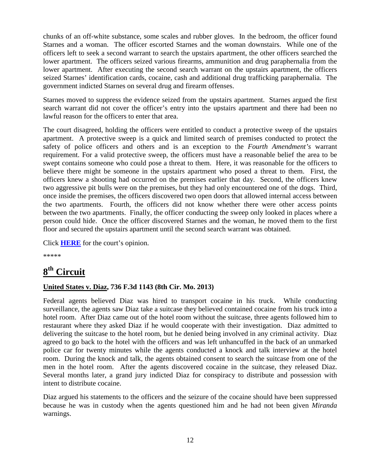chunks of an off-white substance, some scales and rubber gloves. In the bedroom, the officer found Starnes and a woman. The officer escorted Starnes and the woman downstairs. While one of the officers left to seek a second warrant to search the upstairs apartment, the other officers searched the lower apartment. The officers seized various firearms, ammunition and drug paraphernalia from the lower apartment. After executing the second search warrant on the upstairs apartment, the officers seized Starnes' identification cards, cocaine, cash and additional drug trafficking paraphernalia. The government indicted Starnes on several drug and firearm offenses.

Starnes moved to suppress the evidence seized from the upstairs apartment. Starnes argued the first search warrant did not cover the officer's entry into the upstairs apartment and there had been no lawful reason for the officers to enter that area.

The court disagreed, holding the officers were entitled to conduct a protective sweep of the upstairs apartment. A protective sweep is a quick and limited search of premises conducted to protect the safety of police officers and others and is an exception to the *Fourth Amendment's* warrant requirement. For a valid protective sweep, the officers must have a reasonable belief the area to be swept contains someone who could pose a threat to them. Here, it was reasonable for the officers to believe there might be someone in the upstairs apartment who posed a threat to them. First, the officers knew a shooting had occurred on the premises earlier that day. Second, the officers knew two aggressive pit bulls were on the premises, but they had only encountered one of the dogs. Third, once inside the premises, the officers discovered two open doors that allowed internal access between the two apartments. Fourth, the officers did not know whether there were other access points between the two apartments. Finally, the officer conducting the sweep only looked in places where a person could hide. Once the officer discovered Starnes and the woman, he moved them to the first floor and secured the upstairs apartment until the second search warrant was obtained.

Click **[HERE](http://docs.justia.com/cases/federal/appellate-courts/ca7/13-1148/13-1148-2013-12-23.pdf)** for the court's opinion.

\*\*\*\*\*

### <span id="page-11-0"></span>**8th Circuit**

#### **United States v. Diaz, 736 F.3d 1143 (8th Cir. Mo. 2013)**

Federal agents believed Diaz was hired to transport cocaine in his truck. While conducting surveillance, the agents saw Diaz take a suitcase they believed contained cocaine from his truck into a hotel room. After Diaz came out of the hotel room without the suitcase, three agents followed him to restaurant where they asked Diaz if he would cooperate with their investigation. Diaz admitted to delivering the suitcase to the hotel room, but he denied being involved in any criminal activity. Diaz agreed to go back to the hotel with the officers and was left unhancuffed in the back of an unmarked police car for twenty minutes while the agents conducted a knock and talk interview at the hotel room. During the knock and talk, the agents obtained consent to search the suitcase from one of the men in the hotel room. After the agents discovered cocaine in the suitcase, they released Diaz. Several months later, a grand jury indicted Diaz for conspiracy to distribute and possession with intent to distribute cocaine.

Diaz argued his statements to the officers and the seizure of the cocaine should have been suppressed because he was in custody when the agents questioned him and he had not been given *Miranda* warnings.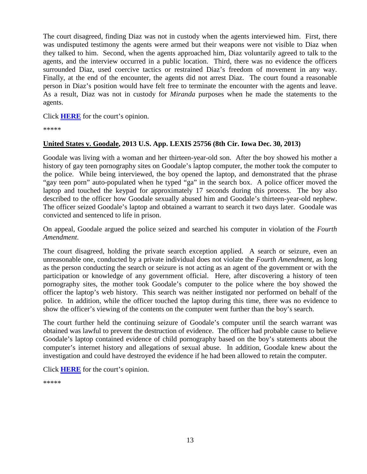The court disagreed, finding Diaz was not in custody when the agents interviewed him. First, there was undisputed testimony the agents were armed but their weapons were not visible to Diaz when they talked to him. Second, when the agents approached him, Diaz voluntarily agreed to talk to the agents, and the interview occurred in a public location. Third, there was no evidence the officers surrounded Diaz, used coercive tactics or restrained Diaz's freedom of movement in any way. Finally, at the end of the encounter, the agents did not arrest Diaz. The court found a reasonable person in Diaz's position would have felt free to terminate the encounter with the agents and leave. As a result, Diaz was not in custody for *Miranda* purposes when he made the statements to the agents.

Click **[HERE](http://docs.justia.com/cases/federal/appellate-courts/ca8/13-1122/13-1122-2013-12-09.pdf)** for the court's opinion.

\*\*\*\*\*

#### **United States v. Goodale, 2013 U.S. App. LEXIS 25756 (8th Cir. Iowa Dec. 30, 2013)**

Goodale was living with a woman and her thirteen-year-old son. After the boy showed his mother a history of gay teen pornography sites on Goodale's laptop computer, the mother took the computer to the police. While being interviewed, the boy opened the laptop, and demonstrated that the phrase "gay teen porn" auto-populated when he typed "ga" in the search box. A police officer moved the laptop and touched the keypad for approximately 17 seconds during this process. The boy also described to the officer how Goodale sexually abused him and Goodale's thirteen-year-old nephew. The officer seized Goodale's laptop and obtained a warrant to search it two days later. Goodale was convicted and sentenced to life in prison.

On appeal, Goodale argued the police seized and searched his computer in violation of the *Fourth Amendment*.

The court disagreed, holding the private search exception applied. A search or seizure, even an unreasonable one, conducted by a private individual does not violate the *Fourth Amendment*, as long as the person conducting the search or seizure is not acting as an agent of the government or with the participation or knowledge of any government official. Here, after discovering a history of teen pornography sites, the mother took Goodale's computer to the police where the boy showed the officer the laptop's web history. This search was neither instigated nor performed on behalf of the police. In addition, while the officer touched the laptop during this time, there was no evidence to show the officer's viewing of the contents on the computer went further than the boy's search.

The court further held the continuing seizure of Goodale's computer until the search warrant was obtained was lawful to prevent the destruction of evidence. The officer had probable cause to believe Goodale's laptop contained evidence of child pornography based on the boy's statements about the computer's internet history and allegations of sexual abuse. In addition, Goodale knew about the investigation and could have destroyed the evidence if he had been allowed to retain the computer.

Click **[HERE](http://docs.justia.com/cases/federal/appellate-courts/ca8/12-3972/12-3972-2013-12-30.pdf)** for the court's opinion.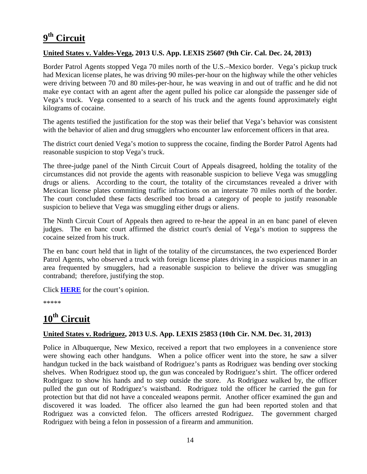## <span id="page-13-0"></span>**9th Circuit**

#### **United States v. Valdes-Vega, 2013 U.S. App. LEXIS 25607 (9th Cir. Cal. Dec. 24, 2013)**

Border Patrol Agents stopped Vega 70 miles north of the U.S.–Mexico border. Vega's pickup truck had Mexican license plates, he was driving 90 miles-per-hour on the highway while the other vehicles were driving between 70 and 80 miles-per-hour, he was weaving in and out of traffic and he did not make eye contact with an agent after the agent pulled his police car alongside the passenger side of Vega's truck. Vega consented to a search of his truck and the agents found approximately eight kilograms of cocaine.

The agents testified the justification for the stop was their belief that Vega's behavior was consistent with the behavior of alien and drug smugglers who encounter law enforcement officers in that area.

The district court denied Vega's motion to suppress the cocaine, finding the Border Patrol Agents had reasonable suspicion to stop Vega's truck.

The three-judge panel of the Ninth Circuit Court of Appeals disagreed, holding the totality of the circumstances did not provide the agents with reasonable suspicion to believe Vega was smuggling drugs or aliens. According to the court, the totality of the circumstances revealed a driver with Mexican license plates committing traffic infractions on an interstate 70 miles north of the border. The court concluded these facts described too broad a category of people to justify reasonable suspicion to believe that Vega was smuggling either drugs or aliens.

The Ninth Circuit Court of Appeals then agreed to re-hear the appeal in an en banc panel of eleven judges. The en banc court affirmed the district court's denial of Vega's motion to suppress the cocaine seized from his truck.

The en banc court held that in light of the totality of the circumstances, the two experienced Border Patrol Agents, who observed a truck with foreign license plates driving in a suspicious manner in an area frequented by smugglers, had a reasonable suspicion to believe the driver was smuggling contraband; therefore, justifying the stop.

Click **[HERE](http://docs.justia.com/cases/federal/appellate-courts/ca9/10-50249/10-50249-2013-12-24.pdf)** for the court's opinion.

\*\*\*\*\*

### <span id="page-13-1"></span>**10th Circuit**

#### **United States v. Rodriguez, 2013 U.S. App. LEXIS 25853 (10th Cir. N.M. Dec. 31, 2013)**

Police in Albuquerque, New Mexico, received a report that two employees in a convenience store were showing each other handguns. When a police officer went into the store, he saw a silver handgun tucked in the back waistband of Rodriguez's pants as Rodriguez was bending over stocking shelves. When Rodriguez stood up, the gun was concealed by Rodriguez's shirt. The officer ordered Rodriguez to show his hands and to step outside the store. As Rodriguez walked by, the officer pulled the gun out of Rodriguez's waistband. Rodriguez told the officer he carried the gun for protection but that did not have a concealed weapons permit. Another officer examined the gun and discovered it was loaded. The officer also learned the gun had been reported stolen and that Rodriguez was a convicted felon. The officers arrested Rodriguez. The government charged Rodriguez with being a felon in possession of a firearm and ammunition.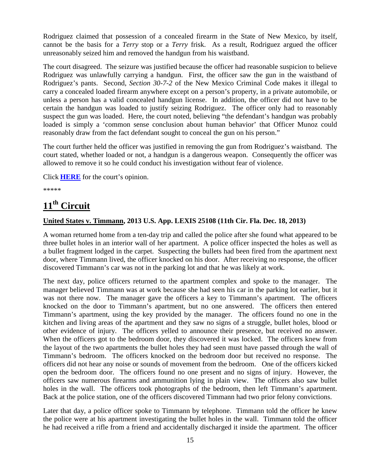Rodriguez claimed that possession of a concealed firearm in the State of New Mexico, by itself, cannot be the basis for a *Terry* stop or a *Terry* frisk. As a result, Rodriguez argued the officer unreasonably seized him and removed the handgun from his waistband.

The court disagreed. The seizure was justified because the officer had reasonable suspicion to believe Rodriguez was unlawfully carrying a handgun. First, the officer saw the gun in the waistband of Rodriguez's pants. Second, *Section 30-7-2* of the New Mexico Criminal Code makes it illegal to carry a concealed loaded firearm anywhere except on a person's property, in a private automobile, or unless a person has a valid concealed handgun license. In addition, the officer did not have to be certain the handgun was loaded to justify seizing Rodriguez. The officer only had to reasonably suspect the gun was loaded. Here, the court noted, believing "the defendant's handgun was probably loaded is simply a 'common sense conclusion about human behavior' that Officer Munoz could reasonably draw from the fact defendant sought to conceal the gun on his person."

The court further held the officer was justified in removing the gun from Rodriguez's waistband. The court stated, whether loaded or not, a handgun is a dangerous weapon. Consequently the officer was allowed to remove it so he could conduct his investigation without fear of violence.

Click **[HERE](http://docs.justia.com/cases/federal/appellate-courts/ca10/12-2203/12-2203-2013-12-31.pdf)** for the court's opinion.

\*\*\*\*\*

### <span id="page-14-0"></span>**11th Circuit**

#### **United States v. Timmann, 2013 U.S. App. LEXIS 25108 (11th Cir. Fla. Dec. 18, 2013)**

A woman returned home from a ten-day trip and called the police after she found what appeared to be three bullet holes in an interior wall of her apartment. A police officer inspected the holes as well as a bullet fragment lodged in the carpet. Suspecting the bullets had been fired from the apartment next door, where Timmann lived, the officer knocked on his door. After receiving no response, the officer discovered Timmann's car was not in the parking lot and that he was likely at work.

The next day, police officers returned to the apartment complex and spoke to the manager. The manager believed Timmann was at work because she had seen his car in the parking lot earlier, but it was not there now. The manager gave the officers a key to Timmann's apartment. The officers knocked on the door to Timmann's apartment, but no one answered. The officers then entered Timmann's apartment, using the key provided by the manager. The officers found no one in the kitchen and living areas of the apartment and they saw no signs of a struggle, bullet holes, blood or other evidence of injury. The officers yelled to announce their presence, but received no answer. When the officers got to the bedroom door, they discovered it was locked. The officers knew from the layout of the two apartments the bullet holes they had seen must have passed through the wall of Timmann's bedroom. The officers knocked on the bedroom door but received no response. The officers did not hear any noise or sounds of movement from the bedroom. One of the officers kicked open the bedroom door. The officers found no one present and no signs of injury. However, the officers saw numerous firearms and ammunition lying in plain view. The officers also saw bullet holes in the wall. The officers took photographs of the bedroom, then left Timmann's apartment. Back at the police station, one of the officers discovered Timmann had two prior felony convictions.

Later that day, a police officer spoke to Timmann by telephone. Timmann told the officer he knew the police were at his apartment investigating the bullet holes in the wall. Timmann told the officer he had received a rifle from a friend and accidentally discharged it inside the apartment. The officer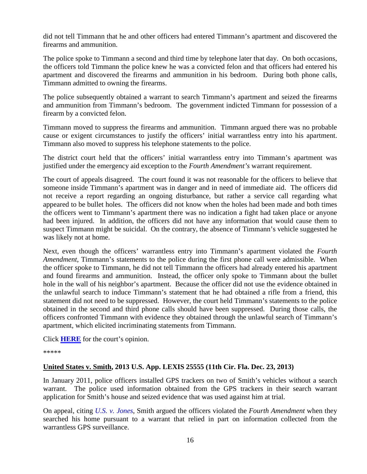did not tell Timmann that he and other officers had entered Timmann's apartment and discovered the firearms and ammunition.

The police spoke to Timmann a second and third time by telephone later that day. On both occasions, the officers told Timmann the police knew he was a convicted felon and that officers had entered his apartment and discovered the firearms and ammunition in his bedroom. During both phone calls, Timmann admitted to owning the firearms.

The police subsequently obtained a warrant to search Timmann's apartment and seized the firearms and ammunition from Timmann's bedroom. The government indicted Timmann for possession of a firearm by a convicted felon.

Timmann moved to suppress the firearms and ammunition. Timmann argued there was no probable cause or exigent circumstances to justify the officers' initial warrantless entry into his apartment. Timmann also moved to suppress his telephone statements to the police.

The district court held that the officers' initial warrantless entry into Timmann's apartment was justified under the emergency aid exception to the *Fourth Amendment's* warrant requirement.

The court of appeals disagreed. The court found it was not reasonable for the officers to believe that someone inside Timmann's apartment was in danger and in need of immediate aid. The officers did not receive a report regarding an ongoing disturbance, but rather a service call regarding what appeared to be bullet holes. The officers did not know when the holes had been made and both times the officers went to Timmann's apartment there was no indication a fight had taken place or anyone had been injured. In addition, the officers did not have any information that would cause them to suspect Timmann might be suicidal. On the contrary, the absence of Timmann's vehicle suggested he was likely not at home.

Next, even though the officers' warrantless entry into Timmann's apartment violated the *Fourth Amendment*, Timmann's statements to the police during the first phone call were admissible. When the officer spoke to Timmann, he did not tell Timmann the officers had already entered his apartment and found firearms and ammunition. Instead, the officer only spoke to Timmann about the bullet hole in the wall of his neighbor's apartment. Because the officer did not use the evidence obtained in the unlawful search to induce Timmann's statement that he had obtained a rifle from a friend, this statement did not need to be suppressed. However, the court held Timmann's statements to the police obtained in the second and third phone calls should have been suppressed. During those calls, the officers confronted Timmann with evidence they obtained through the unlawful search of Timmann's apartment, which elicited incriminating statements from Timmann.

Click **[HERE](http://docs.justia.com/cases/federal/appellate-courts/ca11/11-15832/11-15832-2013-12-18.pdf)** for the court's opinion.

\*\*\*\*\*

#### **United States v. Smith, 2013 U.S. App. LEXIS 25555 (11th Cir. Fla. Dec. 23, 2013)**

In January 2011, police officers installed GPS trackers on two of Smith's vehicles without a search warrant. The police used information obtained from the GPS trackers in their search warrant application for Smith's house and seized evidence that was used against him at trial.

On appeal, citing *[U.S. v. Jones](http://supreme.justia.com/cases/federal/us/565/10-1259/)*, Smith argued the officers violated the *Fourth Amendment* when they searched his home pursuant to a warrant that relied in part on information collected from the warrantless GPS surveillance.